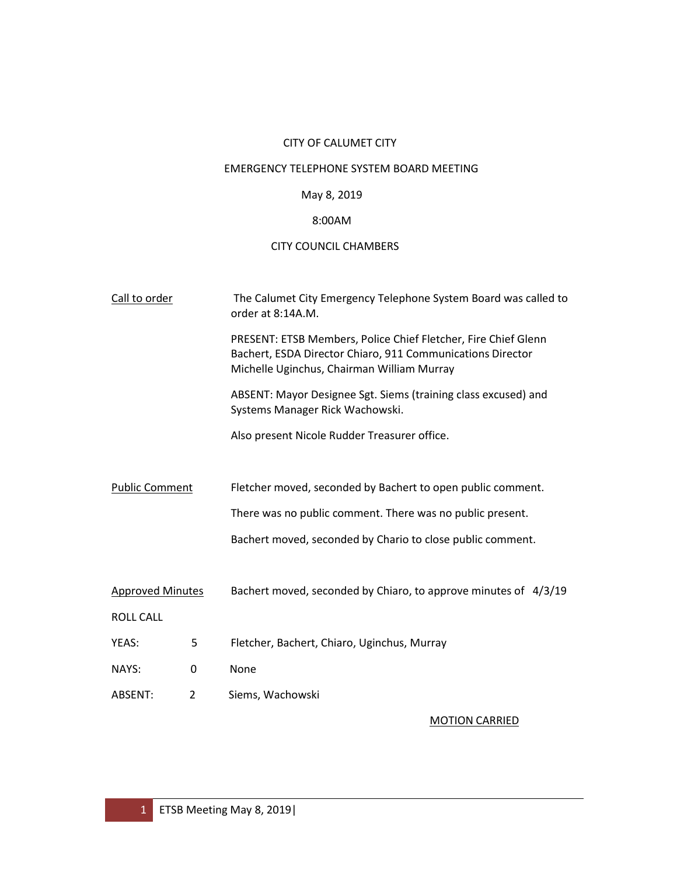# CITY OF CALUMET CITY

# EMERGENCY TELEPHONE SYSTEM BOARD MEETING

# May 8, 2019

# 8:00AM

# CITY COUNCIL CHAMBERS

| Call to order           |             | The Calumet City Emergency Telephone System Board was called to<br>order at 8:14A.M.                                                                                       |
|-------------------------|-------------|----------------------------------------------------------------------------------------------------------------------------------------------------------------------------|
|                         |             | PRESENT: ETSB Members, Police Chief Fletcher, Fire Chief Glenn<br>Bachert, ESDA Director Chiaro, 911 Communications Director<br>Michelle Uginchus, Chairman William Murray |
|                         |             | ABSENT: Mayor Designee Sgt. Siems (training class excused) and<br>Systems Manager Rick Wachowski.                                                                          |
|                         |             | Also present Nicole Rudder Treasurer office.                                                                                                                               |
|                         |             |                                                                                                                                                                            |
| <b>Public Comment</b>   |             | Fletcher moved, seconded by Bachert to open public comment.                                                                                                                |
|                         |             | There was no public comment. There was no public present.                                                                                                                  |
|                         |             | Bachert moved, seconded by Chario to close public comment.                                                                                                                 |
| <b>Approved Minutes</b> |             | Bachert moved, seconded by Chiaro, to approve minutes of 4/3/19                                                                                                            |
| <b>ROLL CALL</b>        |             |                                                                                                                                                                            |
| YEAS:                   | 5           | Fletcher, Bachert, Chiaro, Uginchus, Murray                                                                                                                                |
| NAYS:                   | $\mathbf 0$ | None                                                                                                                                                                       |
| ABSENT:                 | 2           | Siems, Wachowski                                                                                                                                                           |
|                         |             | <b>MOTION CARRIED</b>                                                                                                                                                      |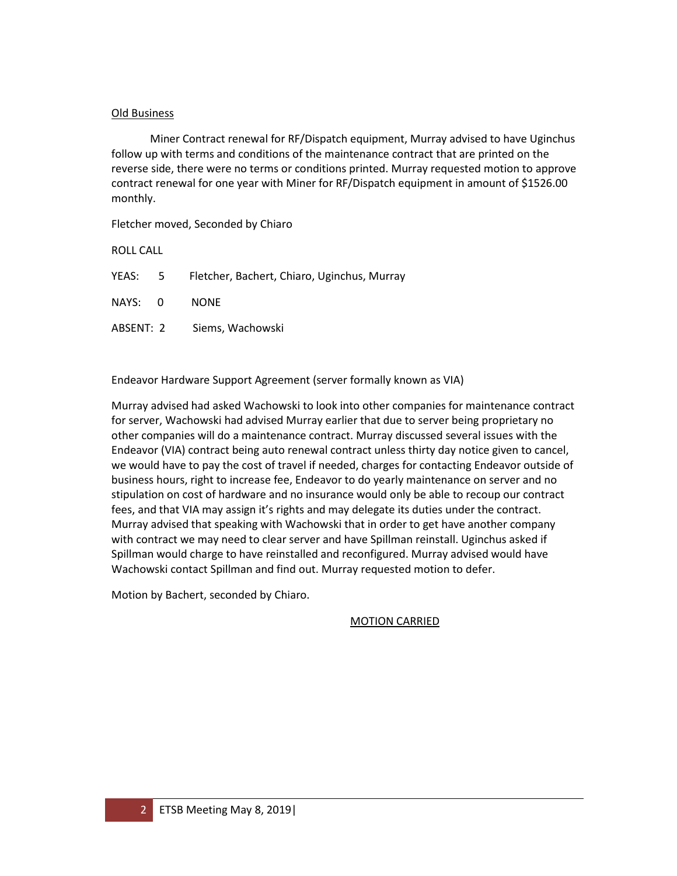#### Old Business

 Miner Contract renewal for RF/Dispatch equipment, Murray advised to have Uginchus follow up with terms and conditions of the maintenance contract that are printed on the reverse side, there were no terms or conditions printed. Murray requested motion to approve contract renewal for one year with Miner for RF/Dispatch equipment in amount of \$1526.00 monthly.

Fletcher moved, Seconded by Chiaro

ROLL CALL

YEAS: 5 Fletcher, Bachert, Chiaro, Uginchus, Murray

NAYS: 0 NONE

ABSENT: 2 Siems, Wachowski

Endeavor Hardware Support Agreement (server formally known as VIA)

Murray advised had asked Wachowski to look into other companies for maintenance contract for server, Wachowski had advised Murray earlier that due to server being proprietary no other companies will do a maintenance contract. Murray discussed several issues with the Endeavor (VIA) contract being auto renewal contract unless thirty day notice given to cancel, we would have to pay the cost of travel if needed, charges for contacting Endeavor outside of business hours, right to increase fee, Endeavor to do yearly maintenance on server and no stipulation on cost of hardware and no insurance would only be able to recoup our contract fees, and that VIA may assign it's rights and may delegate its duties under the contract. Murray advised that speaking with Wachowski that in order to get have another company with contract we may need to clear server and have Spillman reinstall. Uginchus asked if Spillman would charge to have reinstalled and reconfigured. Murray advised would have Wachowski contact Spillman and find out. Murray requested motion to defer.

Motion by Bachert, seconded by Chiaro.

MOTION CARRIED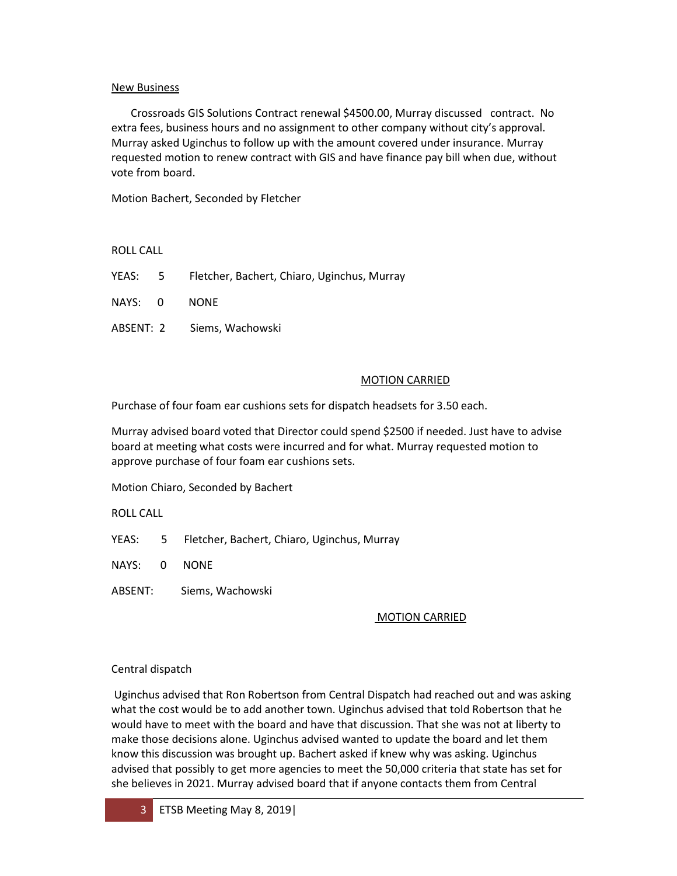#### New Business

 Crossroads GIS Solutions Contract renewal \$4500.00, Murray discussed contract. No extra fees, business hours and no assignment to other company without city's approval. Murray asked Uginchus to follow up with the amount covered under insurance. Murray requested motion to renew contract with GIS and have finance pay bill when due, without vote from board.

Motion Bachert, Seconded by Fletcher

ROLL CALL

- YEAS: 5 Fletcher, Bachert, Chiaro, Uginchus, Murray
- NAYS: 0 NONE
- ABSENT: 2 Siems, Wachowski

## MOTION CARRIED

Purchase of four foam ear cushions sets for dispatch headsets for 3.50 each.

Murray advised board voted that Director could spend \$2500 if needed. Just have to advise board at meeting what costs were incurred and for what. Murray requested motion to approve purchase of four foam ear cushions sets.

Motion Chiaro, Seconded by Bachert

ROLL CALL

YEAS: 5 Fletcher, Bachert, Chiaro, Uginchus, Murray

NAYS: 0 NONE

ABSENT: Siems, Wachowski

## MOTION CARRIED

## Central dispatch

Uginchus advised that Ron Robertson from Central Dispatch had reached out and was asking what the cost would be to add another town. Uginchus advised that told Robertson that he would have to meet with the board and have that discussion. That she was not at liberty to make those decisions alone. Uginchus advised wanted to update the board and let them know this discussion was brought up. Bachert asked if knew why was asking. Uginchus advised that possibly to get more agencies to meet the 50,000 criteria that state has set for she believes in 2021. Murray advised board that if anyone contacts them from Central